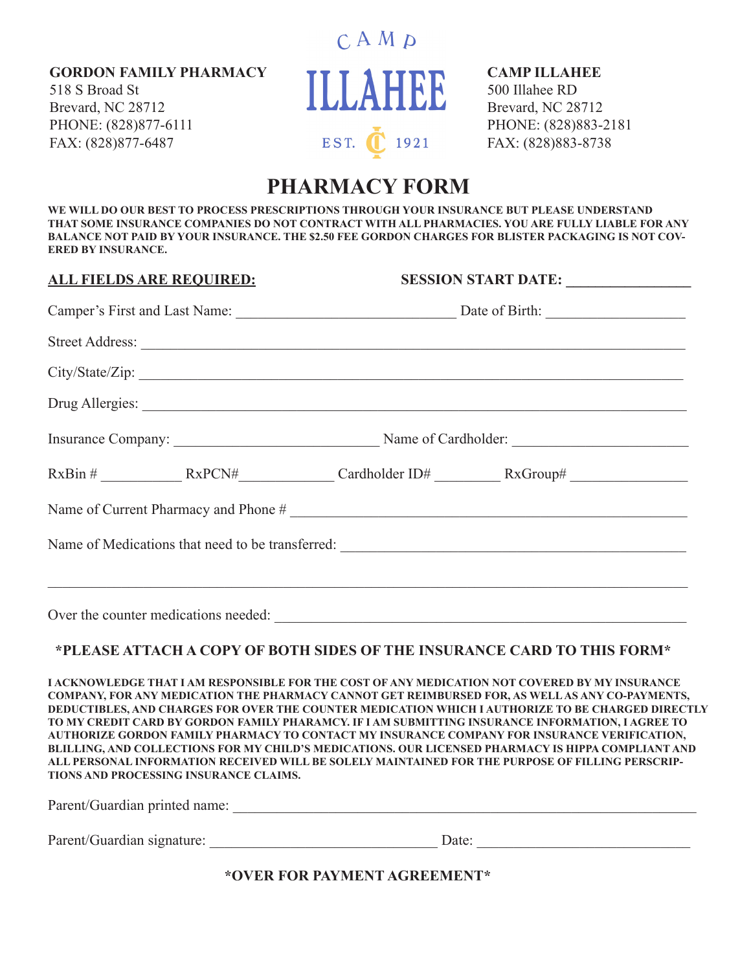**GORDON FAMILY PHARMACY**

518 S Broad St Brevard, NC 28712 PHONE: (828)877-6111 FAX: (828)877-6487



#### **CAMP ILLAHEE**

500 Illahee RD Brevard, NC 28712 PHONE: (828)883-2181 FAX: (828)883-8738

# **PHARMACY FORM**

**WE WILL DO OUR BEST TO PROCESS PRESCRIPTIONS THROUGH YOUR INSURANCE BUT PLEASE UNDERSTAND THAT SOME INSURANCE COMPANIES DO NOT CONTRACT WITH ALL PHARMACIES. YOU ARE FULLY LIABLE FOR ANY BALANCE NOT PAID BY YOUR INSURANCE. THE \$2.50 FEE GORDON CHARGES FOR BLISTER PACKAGING IS NOT COV-ERED BY INSURANCE.**

**ALL FIELDS ARE REQUIRED: SESSION START DATE: \_\_\_\_\_\_\_\_\_\_\_\_\_\_\_\_\_** Camper's First and Last Name: \_\_\_\_\_\_\_\_\_\_\_\_\_\_\_\_\_\_\_\_\_\_\_\_\_\_\_\_\_\_ Date of Birth: \_\_\_\_\_\_\_\_\_\_\_\_\_\_\_\_\_\_\_ Street Address:  $City/State/Zip:$ Drug Allergies: \_\_\_\_\_\_\_\_\_\_\_\_\_\_\_\_\_\_\_\_\_\_\_\_\_\_\_\_\_\_\_\_\_\_\_\_\_\_\_\_\_\_\_\_\_\_\_\_\_\_\_\_\_\_\_\_\_\_\_\_\_\_\_\_\_\_\_\_\_\_\_\_\_\_ Insurance Company: \_\_\_\_\_\_\_\_\_\_\_\_\_\_\_\_\_\_\_\_\_\_\_\_\_\_\_\_ Name of Cardholder: \_\_\_\_\_\_\_\_\_\_\_\_\_\_\_\_\_\_\_\_\_\_\_\_ RxBin #  $RxPCN#$  Cardholder ID#  $RxGroup#$ Name of Current Pharmacy and Phone # \_\_\_\_\_\_\_\_\_\_\_\_\_\_\_\_\_\_\_\_\_\_\_\_\_\_\_\_\_\_\_\_\_\_\_\_\_\_\_\_\_\_\_\_\_\_\_\_\_\_\_\_\_\_ Name of Medications that need to be transferred: \_\_\_\_\_\_\_\_\_\_\_\_\_\_\_\_\_\_\_\_\_\_\_\_\_\_\_\_\_\_\_\_\_\_\_\_\_\_\_\_\_\_\_\_\_\_\_  $\_$  ,  $\_$  ,  $\_$  ,  $\_$  ,  $\_$  ,  $\_$  ,  $\_$  ,  $\_$  ,  $\_$  ,  $\_$  ,  $\_$  ,  $\_$  ,  $\_$  ,  $\_$  ,  $\_$  ,  $\_$  ,  $\_$  ,  $\_$  ,  $\_$  ,  $\_$  ,  $\_$  ,  $\_$  ,  $\_$  ,  $\_$  ,  $\_$  ,  $\_$  ,  $\_$  ,  $\_$  ,  $\_$  ,  $\_$  ,  $\_$  ,  $\_$  ,  $\_$  ,  $\_$  ,  $\_$  ,  $\_$  ,  $\_$  , Over the counter medications needed:

### **\*PLEASE ATTACH A COPY OF BOTH SIDES OF THE INSURANCE CARD TO THIS FORM\***

**I ACKNOWLEDGE THAT I AM RESPONSIBLE FOR THE COST OF ANY MEDICATION NOT COVERED BY MY INSURANCE COMPANY, FOR ANY MEDICATION THE PHARMACY CANNOT GET REIMBURSED FOR, AS WELL AS ANY CO-PAYMENTS, DEDUCTIBLES, AND CHARGES FOR OVER THE COUNTER MEDICATION WHICH I AUTHORIZE TO BE CHARGED DIRECTLY TO MY CREDIT CARD BY GORDON FAMILY PHARAMCY. IF I AM SUBMITTING INSURANCE INFORMATION, I AGREE TO AUTHORIZE GORDON FAMILY PHARMACY TO CONTACT MY INSURANCE COMPANY FOR INSURANCE VERIFICATION, BLILLING, AND COLLECTIONS FOR MY CHILD'S MEDICATIONS. OUR LICENSED PHARMACY IS HIPPA COMPLIANT AND ALL PERSONAL INFORMATION RECEIVED WILL BE SOLELY MAINTAINED FOR THE PURPOSE OF FILLING PERSCRIP-TIONS AND PROCESSING INSURANCE CLAIMS.**

Parent/Guardian printed name: \_\_\_\_\_\_\_\_\_\_\_\_\_\_\_\_\_\_\_\_\_\_\_\_\_\_\_\_\_\_\_\_\_\_\_\_\_\_\_\_\_\_\_\_\_\_\_\_\_\_\_\_\_\_\_\_\_\_\_\_\_\_\_

Parent/Guardian signature: \_\_\_\_\_\_\_\_\_\_\_\_\_\_\_\_\_\_\_\_\_\_\_\_\_\_\_\_\_\_\_ Date: \_\_\_\_\_\_\_\_\_\_\_\_\_\_\_\_\_\_\_\_\_\_\_\_\_\_\_\_\_

**\*OVER FOR PAYMENT AGREEMENT\***